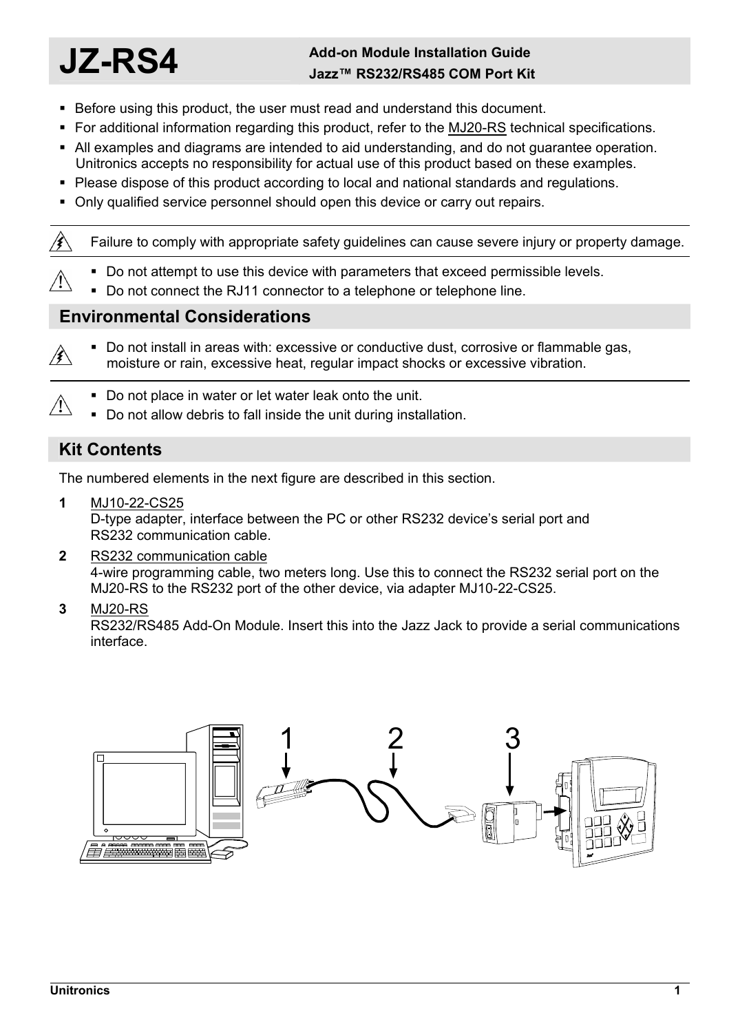# **JZ-RS4 Add-on Module Installation Guide Jazz™ RS232/RS485 COM Port Kit**

- Before using this product, the user must read and understand this document.
- For additional information regarding this product, refer to the MJ20-RS technical specifications.
- All examples and diagrams are intended to aid understanding, and do not guarantee operation. Unitronics accepts no responsibility for actual use of this product based on these examples.
- Please dispose of this product according to local and national standards and regulations.
- Only qualified service personnel should open this device or carry out repairs.

Failure to comply with appropriate safety guidelines can cause severe injury or property damage.

- Do not attempt to use this device with parameters that exceed permissible levels.
- Do not connect the RJ11 connector to a telephone or telephone line.

### **Environmental Considerations**

- Do not install in areas with: excessive or conductive dust, corrosive or flammable gas, ∕≸∖ moisture or rain, excessive heat, regular impact shocks or excessive vibration.
	- Do not place in water or let water leak onto the unit.
	- Do not allow debris to fall inside the unit during installation.

## **Kit Contents**

∕≸∖

 $\bigwedge$ 

The numbered elements in the next figure are described in this section.

**1** MJ10-22-CS25

D-type adapter, interface between the PC or other RS232 device's serial port and RS232 communication cable.

**2** RS232 communication cable

4-wire programming cable, two meters long. Use this to connect the RS232 serial port on the MJ20-RS to the RS232 port of the other device, via adapter MJ10-22-CS25.

**3** MJ20-RS

RS232/RS485 Add-On Module. Insert this into the Jazz Jack to provide a serial communications interface.

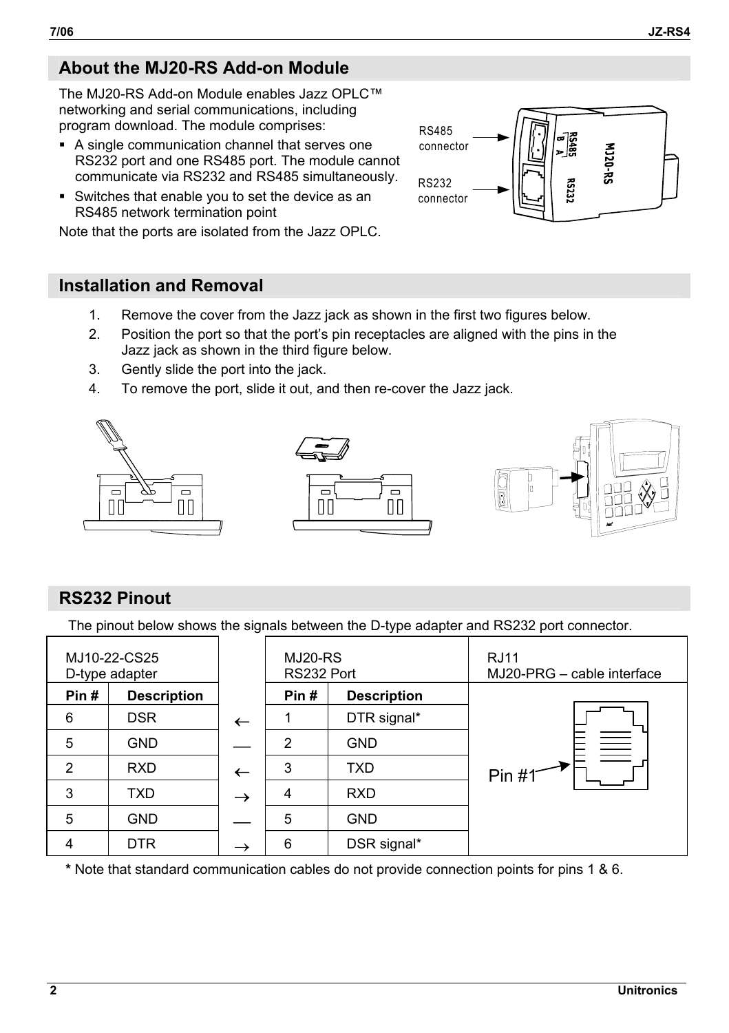# **About the MJ20-RS Add-on Module**

The MJ20-RS Add-on Module enables Jazz OPLC™ networking and serial communications, including program download. The module comprises:

- A single communication channel that serves one RS232 port and one RS485 port. The module cannot communicate via RS232 and RS485 simultaneously.
- Switches that enable you to set the device as an RS485 network termination point

Note that the ports are isolated from the Jazz OPLC.

# **Installation and Removal**

- 1. Remove the cover from the Jazz jack as shown in the first two figures below.
- 2. Position the port so that the port's pin receptacles are aligned with the pins in the Jazz jack as shown in the third figure below.
- 3. Gently slide the port into the jack.
- 4. To remove the port, slide it out, and then re-cover the Jazz jack.







# **RS232 Pinout**

The pinout below shows the signals between the D-type adapter and RS232 port connector.

| MJ10-22-CS25<br>D-type adapter |                    |                          | MJ20-RS<br>RS232 Port |                    | <b>RJ11</b><br>MJ20-PRG - cable interface |
|--------------------------------|--------------------|--------------------------|-----------------------|--------------------|-------------------------------------------|
| Pin#                           | <b>Description</b> |                          | Pin#                  | <b>Description</b> |                                           |
| 6                              | <b>DSR</b>         | $\overline{\phantom{0}}$ |                       | DTR signal*        | $\equiv$<br>Pin #1                        |
| 5                              | <b>GND</b>         |                          | 2                     | <b>GND</b>         |                                           |
| $\mathcal{P}$                  | <b>RXD</b>         | ←                        | 3                     | <b>TXD</b>         |                                           |
| 3                              | TXD.               | →                        | 4                     | <b>RXD</b>         |                                           |
| 5                              | <b>GND</b>         |                          | 5                     | <b>GND</b>         |                                           |
| 4                              | <b>DTR</b>         | $\rightarrow$            | 6                     | DSR signal*        |                                           |

**\*** Note that standard communication cables do not provide connection points for pins 1 & 6.

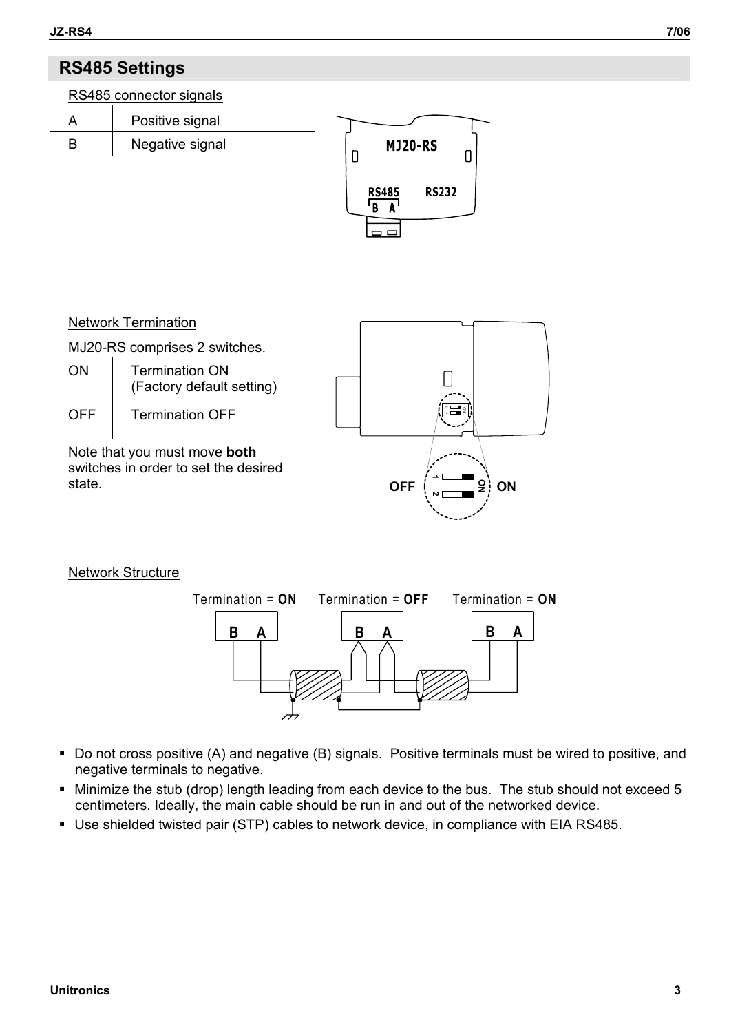# **RS485 Settings**



Note that you must move **both** switches in order to set the desired state.



#### Network Structure



- Do not cross positive (A) and negative (B) signals. Positive terminals must be wired to positive, and negative terminals to negative.
- Minimize the stub (drop) length leading from each device to the bus. The stub should not exceed 5 centimeters. Ideally, the main cable should be run in and out of the networked device.
- Use shielded twisted pair (STP) cables to network device, in compliance with EIA RS485.